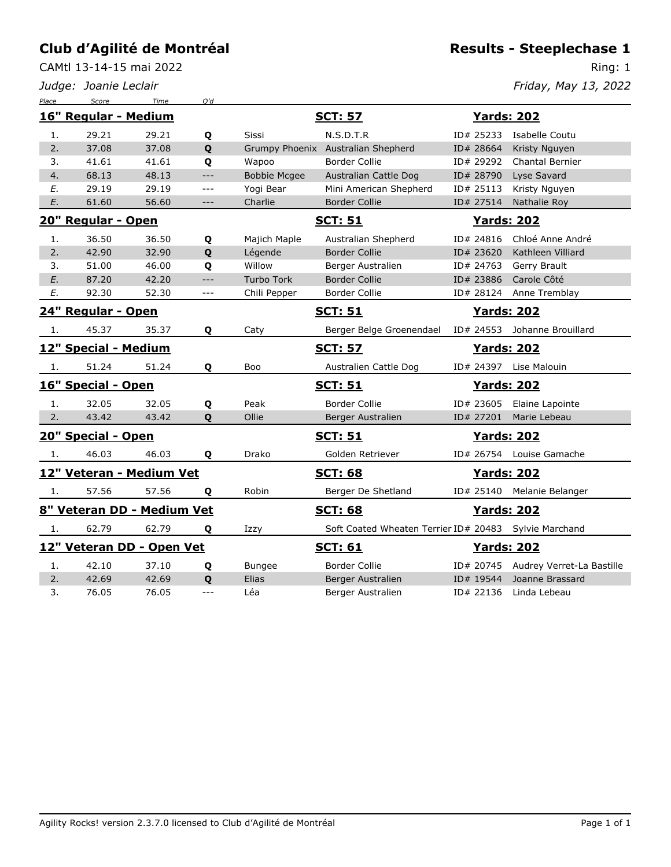CAMtl 13-14-15 mai 2022

*Judge: Joanie Leclair*

Ring: 1

*Friday, May 13, 2022*

| Place | Score                | Time                       | Q'd                 |                     |                                                         |                    |                                     |  |
|-------|----------------------|----------------------------|---------------------|---------------------|---------------------------------------------------------|--------------------|-------------------------------------|--|
|       | 16" Regular - Medium |                            |                     |                     | <b>SCT: 57</b>                                          | <b>Yards: 202</b>  |                                     |  |
| 1.    | 29.21                | 29.21                      | Q                   | Sissi               | N.S.D.T.R                                               |                    | ID# 25233 Isabelle Coutu            |  |
| 2.    | 37.08                | 37.08                      | Q                   |                     | Grumpy Phoenix Australian Shepherd                      | ID# 28664          | Kristy Nguyen                       |  |
| 3.    | 41.61                | 41.61                      | Q                   | Wapoo               | Border Collie                                           | ID# 29292          | <b>Chantal Bernier</b>              |  |
| 4.    | 68.13                | 48.13                      | $---$               | <b>Bobbie Mcgee</b> | Australian Cattle Dog                                   | ID# 28790          | Lyse Savard                         |  |
| E.    | 29.19                | 29.19                      | $ -$                | Yogi Bear           | Mini American Shepherd                                  | ID# 25113          | Kristy Nguyen                       |  |
| E.    | 61.60                | 56.60                      | $---$               | Charlie             | <b>Border Collie</b>                                    | ID# 27514          | Nathalie Roy                        |  |
|       | 20" Regular - Open   |                            |                     |                     | <b>SCT: 51</b>                                          | <b>Yards: 202</b>  |                                     |  |
| 1.    | 36.50                | 36.50                      | Q                   | Majich Maple        | Australian Shepherd                                     | ID# 24816          | Chloé Anne André                    |  |
| 2.    | 42.90                | 32.90                      | Q                   | Légende             | <b>Border Collie</b>                                    | ID# 23620          | Kathleen Villiard                   |  |
| 3.    | 51.00                | 46.00                      | Q                   | Willow              | Berger Australien                                       | ID# 24763          | Gerry Brault                        |  |
| E.    | 87.20                | 42.20                      | $ -$                | <b>Turbo Tork</b>   | <b>Border Collie</b>                                    | ID# 23886          | Carole Côté                         |  |
| Ε.    | 92.30                | 52.30                      | $\qquad \qquad - -$ | Chili Pepper        | <b>Border Collie</b>                                    | ID# 28124          | Anne Tremblay                       |  |
|       | 24" Regular - Open   |                            |                     |                     | <u>SCT: 51</u>                                          | <u>Yards: 202</u>  |                                     |  |
| 1.    | 45.37                | 35.37                      | Q                   | Caty                | Berger Belge Groenendael                                | ID# 24553          | Johanne Brouillard                  |  |
|       | 12" Special - Medium |                            |                     |                     | <b>SCT: 57</b>                                          | <b>Yards: 202</b>  |                                     |  |
| -1.   | 51.24                | 51.24                      | Q                   | Boo                 | Australien Cattle Dog                                   |                    | ID# 24397 Lise Malouin              |  |
|       | 16" Special - Open   |                            |                     |                     | <u>SCT: 51</u>                                          | <b>Yards: 202</b>  |                                     |  |
| 1.    | 32.05                | 32.05                      | Q                   | Peak                | <b>Border Collie</b>                                    | ID# 23605          | Elaine Lapointe                     |  |
| 2.    | 43.42                | 43.42                      | Q                   | Ollie               | Berger Australien                                       | ID# 27201          | Marie Lebeau                        |  |
|       | 20" Special - Open   |                            |                     |                     | <b>SCT: 51</b>                                          | <b>Yards: 202</b>  |                                     |  |
| 1.    | 46.03                | 46.03                      | Q                   | Drako               | Golden Retriever                                        |                    | ID# 26754 Louise Gamache            |  |
|       |                      | 12" Veteran - Medium Vet   |                     |                     | <b>SCT: 68</b>                                          | <u> Yards: 202</u> |                                     |  |
| 1.    | 57.56                | 57.56                      | Q                   | Robin               | Berger De Shetland                                      |                    | ID# 25140 Melanie Belanger          |  |
|       |                      | 8" Veteran DD - Medium Vet |                     |                     | <b>SCT: 68</b>                                          | <b>Yards: 202</b>  |                                     |  |
| 1.    | 62.79                | 62.79                      | Q                   | Izzy                | Soft Coated Wheaten Terrier ID# 20483   Sylvie Marchand |                    |                                     |  |
|       |                      | 12" Veteran DD - Open Vet  |                     |                     | <b>SCT: 61</b>                                          | <b>Yards: 202</b>  |                                     |  |
| 1.    | 42.10                | 37.10                      | Q                   | <b>Bungee</b>       | Border Collie                                           |                    | ID# 20745 Audrey Verret-La Bastille |  |
| 2.    | 42.69                | 42.69                      | Q                   | Elias               | Berger Australien                                       | ID# 19544          | Joanne Brassard                     |  |
| 3.    | 76.05                | 76.05                      | ---                 | Léa                 | Berger Australien                                       | ID# 22136          | Linda Lebeau                        |  |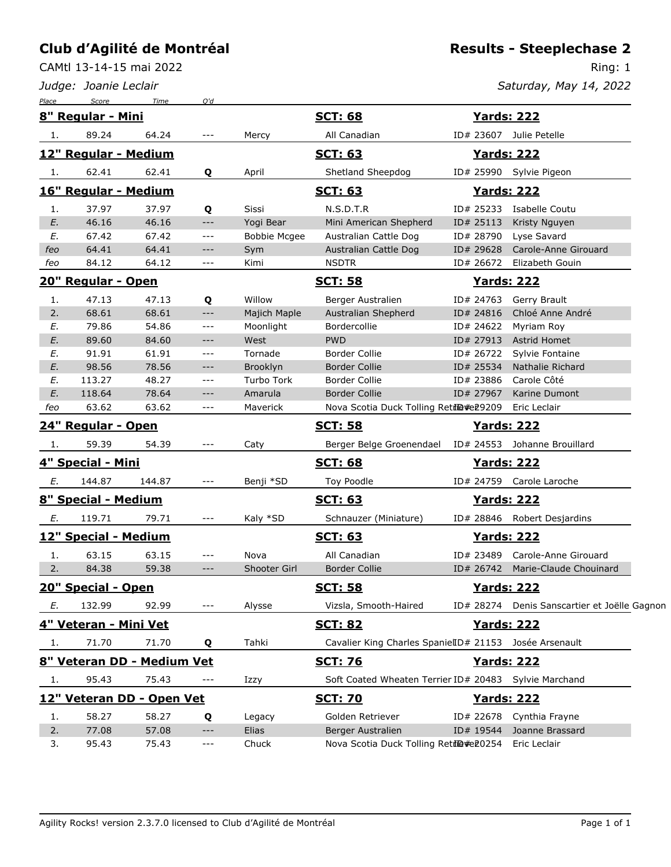CAMtl 13-14-15 mai 2022

*Judge: Joanie Leclair*

Ring: 1 *Saturday, May 14, 2022*

| Place | Score                 | Time                       | O'd         |                     |                                                        |           |                                              |
|-------|-----------------------|----------------------------|-------------|---------------------|--------------------------------------------------------|-----------|----------------------------------------------|
|       | 8" Regular - Mini     |                            |             |                     | <b>SCT: 68</b>                                         |           | <u>Yards: 222</u>                            |
| 1.    | 89.24                 | 64.24                      | $---$       | Mercy               | All Canadian                                           |           | ID# 23607 Julie Petelle                      |
|       | 12" Regular - Medium  |                            |             |                     | <b>SCT: 63</b>                                         |           | <b>Yards: 222</b>                            |
| 1.    | 62.41                 | 62.41                      | Q           | April               | Shetland Sheepdog                                      |           | ID# 25990 Sylvie Pigeon                      |
|       | 16" Regular - Medium  |                            |             |                     | <b>SCT: 63</b>                                         |           | <b>Yards: 222</b>                            |
| 1.    | 37.97                 | 37.97                      | Q           | Sissi               | N.S.D.T.R                                              |           | ID# 25233 Isabelle Coutu                     |
| E.    | 46.16                 | 46.16                      | $-\, -\, -$ | Yogi Bear           | Mini American Shepherd                                 | ID# 25113 | Kristy Nguyen                                |
| Ε.    | 67.42                 | 67.42                      | $---$       | <b>Bobbie Mcgee</b> | Australian Cattle Dog                                  | ID# 28790 | Lyse Savard                                  |
| feo   | 64.41                 | 64.41                      | $---$       | Sym                 | Australian Cattle Dog                                  | ID# 29628 | Carole-Anne Girouard                         |
| feo   | 84.12                 | 64.12                      | $---$       | Kimi                | <b>NSDTR</b>                                           | ID# 26672 | Elizabeth Gouin                              |
|       | 20" Regular - Open    |                            |             |                     | <b>SCT: 58</b>                                         |           | <u>Yards: 222</u>                            |
| 1.    | 47.13                 | 47.13                      | Q           | Willow              | Berger Australien                                      | ID# 24763 | Gerry Brault                                 |
| 2.    | 68.61                 | 68.61                      | $--\,$      | Majich Maple        | Australian Shepherd                                    | ID# 24816 | Chloé Anne André                             |
| E.    | 79.86                 | 54.86                      | $---$       | Moonlight           | Bordercollie                                           | ID# 24622 | Myriam Roy                                   |
| E.    | 89.60                 | 84.60                      | $---$       | West                | <b>PWD</b>                                             | ID# 27913 | Astrid Homet                                 |
| Ε.    | 91.91                 | 61.91                      | $---$       | Tornade             | <b>Border Collie</b>                                   | ID# 26722 | Sylvie Fontaine                              |
| E.    | 98.56                 | 78.56                      | $---$       | Brooklyn            | <b>Border Collie</b>                                   | ID# 25534 | Nathalie Richard                             |
| Ε.    | 113.27                | 48.27                      | $---$       | Turbo Tork          | Border Collie                                          | ID# 23886 | Carole Côté                                  |
| E.    | 118.64                | 78.64                      | $---$       | Amarula             | <b>Border Collie</b>                                   | ID# 27967 | Karine Dumont                                |
| feo   | 63.62                 | 63.62                      | $- - -$     | Maverick            | Nova Scotia Duck Tolling Retil@#e29209                 |           | Eric Leclair                                 |
|       | 24" Regular - Open    |                            |             |                     | <b>SCT: 58</b>                                         |           | <b>Yards: 222</b>                            |
| 1.    | 59.39                 | 54.39                      | $---$       | Caty                | Berger Belge Groenendael                               |           | ID# 24553 Johanne Brouillard                 |
|       | 4" Special - Mini     |                            |             |                     | <b>SCT: 68</b>                                         |           | <u>Yards: 222</u>                            |
| E.    | 144.87                | 144.87                     | ---         | Benji *SD           | Toy Poodle                                             |           | ID# 24759 Carole Laroche                     |
|       | 8" Special - Medium   |                            |             |                     | <b>SCT: 63</b>                                         |           | <u>Yards: 222</u>                            |
| Е.    | 119.71                | 79.71                      | $---$       | Kaly *SD            | Schnauzer (Miniature)                                  |           | ID# 28846 Robert Desjardins                  |
|       | 12" Special - Medium  |                            |             |                     | <b>SCT: 63</b>                                         |           | <u>Yards: 222</u>                            |
| 1.    | 63.15                 | 63.15                      | $---$       | Nova                | All Canadian                                           |           | ID# 23489 Carole-Anne Girouard               |
| 2.    | 84.38                 | 59.38                      | $---$       | Shooter Girl        | <b>Border Collie</b>                                   |           | ID# 26742 Marie-Claude Chouinard             |
|       | 20" Special - Open    |                            |             |                     | <u>SCT: 58</u>                                         |           | <b>Yards: 222</b>                            |
| Е.    | 132.99                | 92.99                      |             | Alysse              | Vizsla, Smooth-Haired                                  |           | ID# 28274 Denis Sanscartier et Joëlle Gagnon |
|       | 4" Veteran - Mini Vet |                            |             |                     | <u>SCT: 82</u>                                         |           | <u>Yards: 222</u>                            |
| 1.    | 71.70                 | 71.70                      | Q           | Tahki               | Cavalier King Charles SpanielID# 21153 Josée Arsenault |           |                                              |
|       |                       | 8" Veteran DD - Medium Vet |             |                     | <b>SCT: 76</b>                                         |           | <u>Yards: 222</u>                            |
| 1.    | 95.43                 | 75.43                      | ---         | Izzy                | Soft Coated Wheaten Terrier ID# 20483 Sylvie Marchand  |           |                                              |
|       |                       | 12" Veteran DD - Open Vet  |             |                     | <b>SCT: 70</b>                                         |           | <u> Yards: 222</u>                           |
| 1.    | 58.27                 | 58.27                      | Q           | Legacy              | Golden Retriever                                       |           | ID# 22678 Cynthia Frayne                     |
| 2.    | 77.08                 | 57.08                      | $---$       | Elias               | Berger Australien                                      | ID# 19544 | Joanne Brassard                              |
| 3.    | 95.43                 | 75.43                      | ---         | Chuck               | Nova Scotia Duck Tolling Retil@#e20254 Eric Leclair    |           |                                              |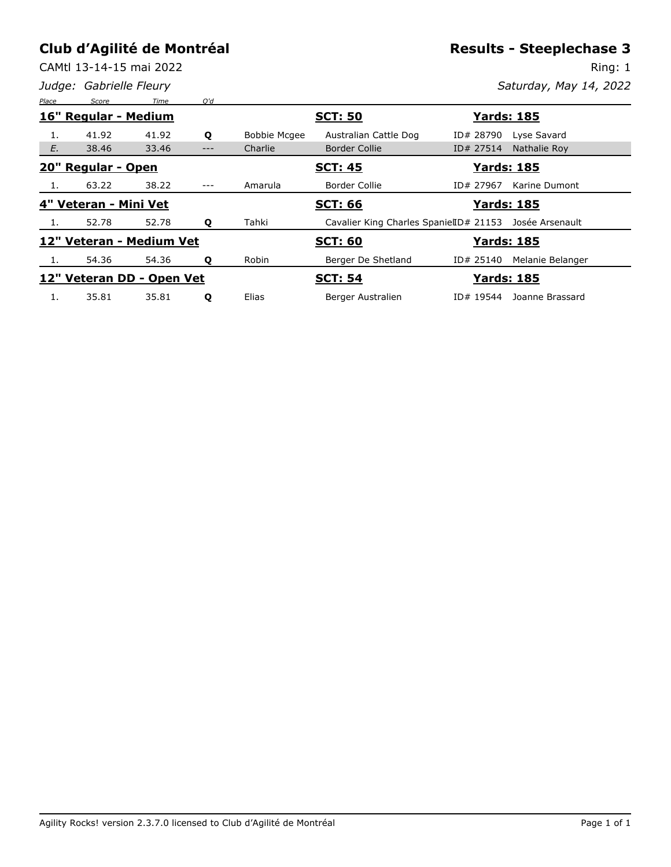CAMtl 13-14-15 mai 2022

*Judge: Gabrielle Fleury*

**Results - Steeplechase 3**

Ring: 1 *Saturday, May 14, 2022*

| Place | Score                 | Time                      | O'd   |                     |                                        |           |                    |  |  |
|-------|-----------------------|---------------------------|-------|---------------------|----------------------------------------|-----------|--------------------|--|--|
|       | 16" Regular - Medium  |                           |       | <b>SCT: 50</b>      |                                        |           | <u> Yards: 185</u> |  |  |
|       | 41.92                 | 41.92                     | Q     | <b>Bobbie Mcgee</b> | Australian Cattle Dog                  | ID# 28790 | Lyse Savard        |  |  |
| E.    | 38.46                 | 33.46                     |       | Charlie             | <b>Border Collie</b>                   | ID# 27514 | Nathalie Rov       |  |  |
|       | 20" Regular - Open    |                           |       |                     | <b>Yards: 185</b><br><b>SCT: 45</b>    |           |                    |  |  |
|       | 63.22                 | 38.22                     | $---$ | Amarula             | Border Collie                          | ID# 27967 | Karine Dumont      |  |  |
|       | 4" Veteran - Mini Vet |                           |       |                     | <b>SCT: 66</b>                         |           | <b>Yards: 185</b>  |  |  |
|       | 52.78                 | 52.78                     | Q     | Tahki               | Cavalier King Charles SpanielID# 21153 |           | Josée Arsenault    |  |  |
|       |                       | 12" Veteran - Medium Vet  |       |                     | <b>SCT: 60</b>                         |           | <u> Yards: 185</u> |  |  |
| 1.    | 54.36                 | 54.36                     | Q     | Robin               | Berger De Shetland                     | ID# 25140 | Melanie Belanger   |  |  |
|       |                       | 12" Veteran DD - Open Vet |       |                     | <b>SCT: 54</b>                         |           | <u> Yards: 185</u> |  |  |
| 1.    | 35.81                 | 35.81                     | Q     | Elias               | Berger Australien                      | ID# 19544 | Joanne Brassard    |  |  |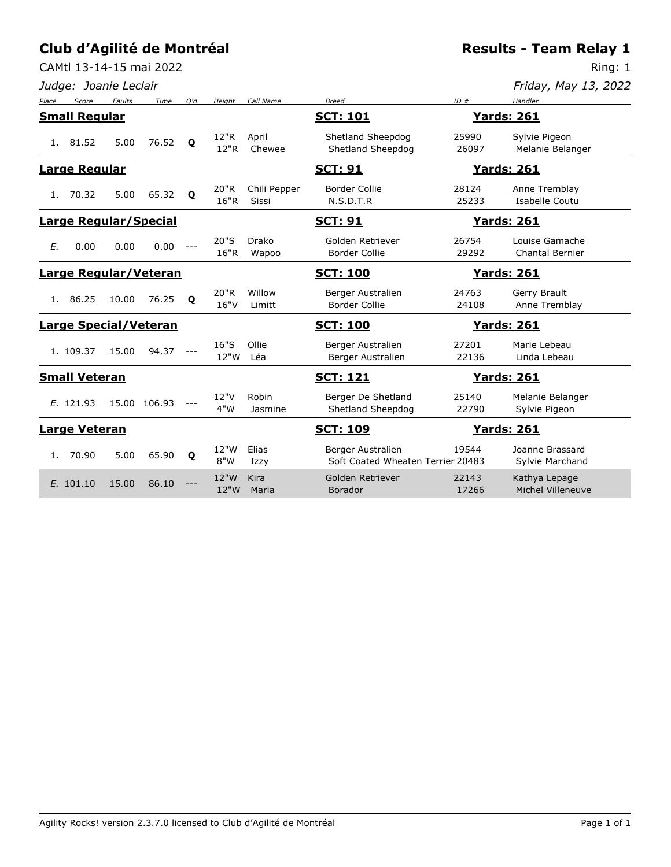CAMtl 13-14-15 mai 2022

*Judge: Joanie Leclair*

**Results - Team Relay 1**

Ring: 1

*Friday, May 13, 2022*

| Place                        | Score                        | <b>Faults</b> | Time                         | O'd          | Height       | Call Name                    | <b>Breed</b>                                           | ID#                | Handler                                  |
|------------------------------|------------------------------|---------------|------------------------------|--------------|--------------|------------------------------|--------------------------------------------------------|--------------------|------------------------------------------|
| <b>Small Regular</b>         |                              |               |                              |              |              |                              | <b>SCT: 101</b>                                        |                    | <b>Yards: 261</b>                        |
| 1.                           | 81.52                        | 5.00          | 76.52                        | $\mathbf{o}$ | 12"R<br>12"R | April<br>Chewee              | Shetland Sheepdog<br>Shetland Sheepdog                 | 25990<br>26097     | Sylvie Pigeon<br>Melanie Belanger        |
| <b>Large Regular</b>         |                              |               |                              |              |              |                              | <u>SCT: 91</u>                                         |                    | <u> Yards: 261</u>                       |
| 1.                           | 70.32                        | 5.00          | 65.32                        | $\mathbf{o}$ | 20"R<br>16"R | Chili Pepper<br><b>Sissi</b> | <b>Border Collie</b><br>N.S.D.T.R                      | 28124<br>25233     | Anne Tremblay<br>Isabelle Coutu          |
|                              | <b>Large Regular/Special</b> |               |                              |              |              | <u>SCT: 91</u>               |                                                        | <u> Yards: 261</u> |                                          |
| E.                           | 0.00                         | 0.00          | 0.00                         |              | 20"S<br>16"R | Drako<br>Wapoo               | Golden Retriever<br><b>Border Collie</b>               | 26754<br>29292     | Louise Gamache<br><b>Chantal Bernier</b> |
|                              |                              |               | <b>Large Regular/Veteran</b> |              |              | <b>SCT: 100</b>              |                                                        | <u> Yards: 261</u> |                                          |
| 1.                           | 86.25                        | 10.00         | 76.25                        | $\mathbf{o}$ | 20"R<br>16"V | Willow<br>Limitt             | Berger Australien<br><b>Border Collie</b>              | 24763<br>24108     | Gerry Brault<br>Anne Tremblay            |
| <b>Large Special/Veteran</b> |                              |               |                              |              |              | <b>SCT: 100</b>              |                                                        | <u> Yards: 261</u> |                                          |
|                              | 1. 109.37                    | 15.00         | 94.37                        |              | 16"S<br>12"W | Ollie<br>Léa                 | Berger Australien<br>Berger Australien                 | 27201<br>22136     | Marie Lebeau<br>Linda Lebeau             |
|                              | <b>Small Veteran</b>         |               |                              |              |              |                              | <u>SCT: 121</u>                                        |                    | <u>Yards: 261</u>                        |
|                              | E. 121.93                    |               | 15.00 106.93                 |              | 12"V<br>4"W  | Robin<br>Jasmine             | Berger De Shetland<br>Shetland Sheepdog                | 25140<br>22790     | Melanie Belanger<br>Sylvie Pigeon        |
| <b>Large Veteran</b>         |                              |               |                              |              |              |                              | <u>SCT: 109</u><br><b>Yards: 261</b>                   |                    |                                          |
| 1.                           | 70.90                        | 5.00          | 65.90                        | $\mathbf{o}$ | 12"W<br>8"W  | Elias<br>Izzy                | Berger Australien<br>Soft Coated Wheaten Terrier 20483 | 19544              | Joanne Brassard<br>Sylvie Marchand       |
|                              | E. 101.10                    | 15.00         | 86.10                        |              | 12"W<br>12"W | Kira<br>Maria                | Golden Retriever<br><b>Borador</b>                     | 22143<br>17266     | Kathya Lepage<br>Michel Villeneuve       |